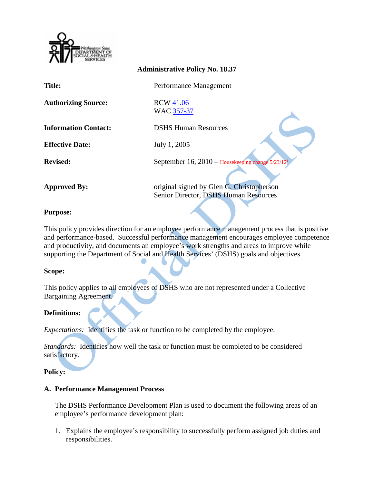

|                             | <b>Administrative Policy No. 18.37</b>                                             |
|-----------------------------|------------------------------------------------------------------------------------|
| <b>Title:</b>               | Performance Management                                                             |
| <b>Authorizing Source:</b>  | <b>RCW 41.06</b><br>WAC 357-37                                                     |
| <b>Information Contact:</b> | <b>DSHS Human Resources</b>                                                        |
| <b>Effective Date:</b>      | July 1, 2005                                                                       |
| <b>Revised:</b>             | September 16, $2010$ – Housekeeping change $5/23/12^i$                             |
| <b>Approved By:</b>         | original signed by Glen G. Christopherson<br>Senior Director, DSHS Human Resources |

### **Purpose:**

This policy provides direction for an employee performance management process that is positive and performance-based. Successful performance management encourages employee competence and productivity, and documents an employee's work strengths and areas to improve while supporting the Department of Social and Health Services' (DSHS) goals and objectives.

### **Scope:**

This policy applies to all employees of DSHS who are not represented under a Collective Bargaining Agreement.

# **Definitions:**

*Expectations:* Identifies the task or function to be completed by the employee.

*Standards:* Identifies how well the task or function must be completed to be considered satisfactory.

### **Policy:**

### **A. Performance Management Process**

The DSHS Performance Development Plan is used to document the following areas of an employee's performance development plan:

1. Explains the employee's responsibility to successfully perform assigned job duties and responsibilities.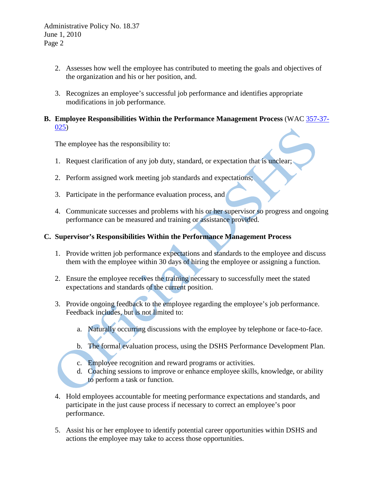- 2. Assesses how well the employee has contributed to meeting the goals and objectives of the organization and his or her position, and.
- 3. Recognizes an employee's successful job performance and identifies appropriate modifications in job performance.
- **B. Employee Responsibilities Within the Performance Management Process** (WAC [357-37-](http://apps.leg.wa.gov/WAC/default.aspx?cite=357-37-025) [025\)](http://apps.leg.wa.gov/WAC/default.aspx?cite=357-37-025)

The employee has the responsibility to:

- 1. Request clarification of any job duty, standard, or expectation that is unclear;
- 2. Perform assigned work meeting job standards and expectations;
- 3. Participate in the performance evaluation process, and
- 4. Communicate successes and problems with his or her supervisor so progress and ongoing performance can be measured and training or assistance provided.

# **C. Supervisor's Responsibilities Within the Performance Management Process**

- 1. Provide written job performance expectations and standards to the employee and discuss them with the employee within 30 days of hiring the employee or assigning a function.
- 2. Ensure the employee receives the training necessary to successfully meet the stated expectations and standards of the current position.
- 3. Provide ongoing feedback to the employee regarding the employee's job performance. Feedback includes, but is not limited to:
	- a. Naturally occurring discussions with the employee by telephone or face-to-face.
	- b. The formal evaluation process, using the DSHS Performance Development Plan.
	- c. Employee recognition and reward programs or activities.
	- d. Coaching sessions to improve or enhance employee skills, knowledge, or ability to perform a task or function.
- 4. Hold employees accountable for meeting performance expectations and standards, and participate in the just cause process if necessary to correct an employee's poor performance.
- 5. Assist his or her employee to identify potential career opportunities within DSHS and actions the employee may take to access those opportunities.